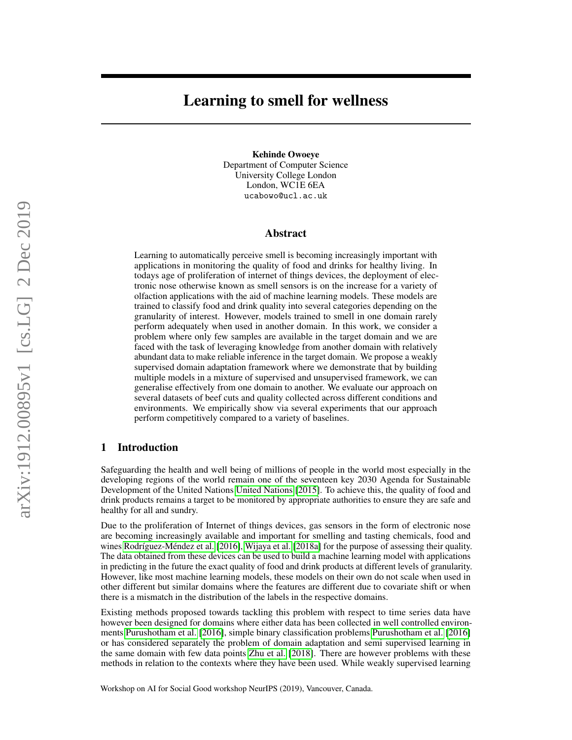# Learning to smell for wellness

Kehinde Owoeye Department of Computer Science University College London London, WC1E 6EA ucabowo@ucl.ac.uk

#### Abstract

Learning to automatically perceive smell is becoming increasingly important with applications in monitoring the quality of food and drinks for healthy living. In todays age of proliferation of internet of things devices, the deployment of electronic nose otherwise known as smell sensors is on the increase for a variety of olfaction applications with the aid of machine learning models. These models are trained to classify food and drink quality into several categories depending on the granularity of interest. However, models trained to smell in one domain rarely perform adequately when used in another domain. In this work, we consider a problem where only few samples are available in the target domain and we are faced with the task of leveraging knowledge from another domain with relatively abundant data to make reliable inference in the target domain. We propose a weakly supervised domain adaptation framework where we demonstrate that by building multiple models in a mixture of supervised and unsupervised framework, we can generalise effectively from one domain to another. We evaluate our approach on several datasets of beef cuts and quality collected across different conditions and environments. We empirically show via several experiments that our approach perform competitively compared to a variety of baselines.

## 1 Introduction

Safeguarding the health and well being of millions of people in the world most especially in the developing regions of the world remain one of the seventeen key 2030 Agenda for Sustainable Development of the United Nations [United Nations](#page-4-0) [\[2015\]](#page-4-0). To achieve this, the quality of food and drink products remains a target to be monitored by appropriate authorities to ensure they are safe and healthy for all and sundry.

Due to the proliferation of Internet of things devices, gas sensors in the form of electronic nose are becoming increasingly available and important for smelling and tasting chemicals, food and wines [Rodríguez-Méndez et al.](#page-4-1) [\[2016\]](#page-4-1), [Wijaya et al.](#page-4-2) [\[2018a\]](#page-4-2) for the purpose of assessing their quality. The data obtained from these devices can be used to build a machine learning model with applications in predicting in the future the exact quality of food and drink products at different levels of granularity. However, like most machine learning models, these models on their own do not scale when used in other different but similar domains where the features are different due to covariate shift or when there is a mismatch in the distribution of the labels in the respective domains.

Existing methods proposed towards tackling this problem with respect to time series data have however been designed for domains where either data has been collected in well controlled environments [Purushotham et al.](#page-4-3) [\[2016\]](#page-4-3), simple binary classification problems [Purushotham et al.](#page-4-3) [\[2016\]](#page-4-3) or has considered separately the problem of domain adaptation and semi supervised learning in the same domain with few data points [Zhu et al.](#page-4-4) [\[2018\]](#page-4-4). There are however problems with these methods in relation to the contexts where they have been used. While weakly supervised learning

Workshop on AI for Social Good workshop NeurIPS (2019), Vancouver, Canada.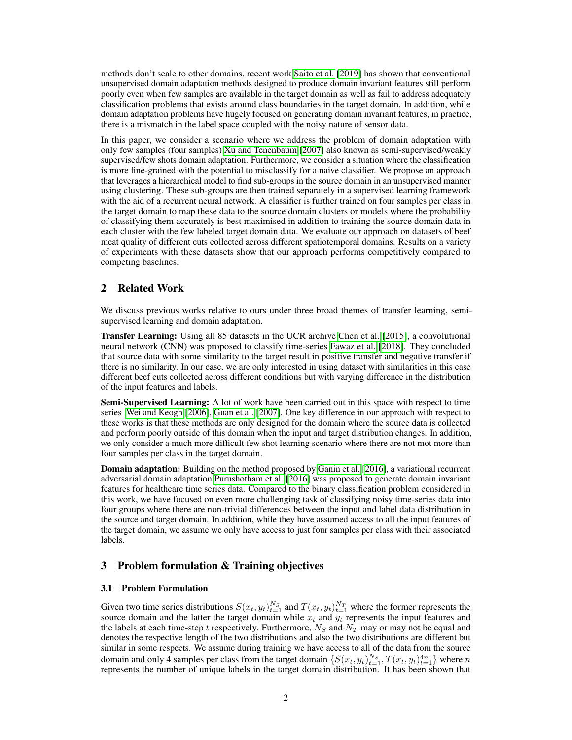methods don't scale to other domains, recent work [Saito et al.](#page-4-5) [\[2019\]](#page-4-5) has shown that conventional unsupervised domain adaptation methods designed to produce domain invariant features still perform poorly even when few samples are available in the target domain as well as fail to address adequately classification problems that exists around class boundaries in the target domain. In addition, while domain adaptation problems have hugely focused on generating domain invariant features, in practice, there is a mismatch in the label space coupled with the noisy nature of sensor data.

In this paper, we consider a scenario where we address the problem of domain adaptation with only few samples (four samples) [Xu and Tenenbaum](#page-4-6) [\[2007\]](#page-4-6) also known as semi-supervised/weakly supervised/few shots domain adaptation. Furthermore, we consider a situation where the classification is more fine-grained with the potential to misclassify for a naive classifier. We propose an approach that leverages a hierarchical model to find sub-groups in the source domain in an unsupervised manner using clustering. These sub-groups are then trained separately in a supervised learning framework with the aid of a recurrent neural network. A classifier is further trained on four samples per class in the target domain to map these data to the source domain clusters or models where the probability of classifying them accurately is best maximised in addition to training the source domain data in each cluster with the few labeled target domain data. We evaluate our approach on datasets of beef meat quality of different cuts collected across different spatiotemporal domains. Results on a variety of experiments with these datasets show that our approach performs competitively compared to competing baselines.

# 2 Related Work

We discuss previous works relative to ours under three broad themes of transfer learning, semisupervised learning and domain adaptation.

Transfer Learning: Using all 85 datasets in the UCR archive [Chen et al.](#page-4-7) [\[2015\]](#page-4-7), a convolutional neural network (CNN) was proposed to classify time-series [Fawaz et al.](#page-4-8) [\[2018\]](#page-4-8). They concluded that source data with some similarity to the target result in positive transfer and negative transfer if there is no similarity. In our case, we are only interested in using dataset with similarities in this case different beef cuts collected across different conditions but with varying difference in the distribution of the input features and labels.

Semi-Supervised Learning: A lot of work have been carried out in this space with respect to time series [Wei and Keogh](#page-4-9) [\[2006\]](#page-4-9), [Guan et al.](#page-4-10) [\[2007\]](#page-4-10). One key difference in our approach with respect to these works is that these methods are only designed for the domain where the source data is collected and perform poorly outside of this domain when the input and target distribution changes. In addition, we only consider a much more difficult few shot learning scenario where there are not mot more than four samples per class in the target domain.

**Domain adaptation:** Building on the method proposed by [Ganin et al.](#page-4-11) [\[2016\]](#page-4-11), a variational recurrent adversarial domain adaptation [Purushotham et al.](#page-4-3) [\[2016\]](#page-4-3) was proposed to generate domain invariant features for healthcare time series data. Compared to the binary classification problem considered in this work, we have focused on even more challenging task of classifying noisy time-series data into four groups where there are non-trivial differences between the input and label data distribution in the source and target domain. In addition, while they have assumed access to all the input features of the target domain, we assume we only have access to just four samples per class with their associated labels.

## 3 Problem formulation & Training objectives

#### 3.1 Problem Formulation

Given two time series distributions  $S(x_t, y_t)_{t=1}^{N_S}$  and  $T(x_t, y_t)_{t=1}^{N_T}$  where the former represents the source domain and the latter the target domain while  $x_t$  and  $y_t$  represents the input features and the labels at each time-step t respectively. Furthermore,  $N<sub>S</sub>$  and  $N<sub>T</sub>$  may or may not be equal and denotes the respective length of the two distributions and also the two distributions are different but similar in some respects. We assume during training we have access to all of the data from the source domain and only 4 samples per class from the target domain  $\{S(x_t, y_t)_{t=1}^{N_S}, T(x_t, y_t)_{t=1}^{4n}\}$  where n represents the number of unique labels in the target domain distribution. It has been shown that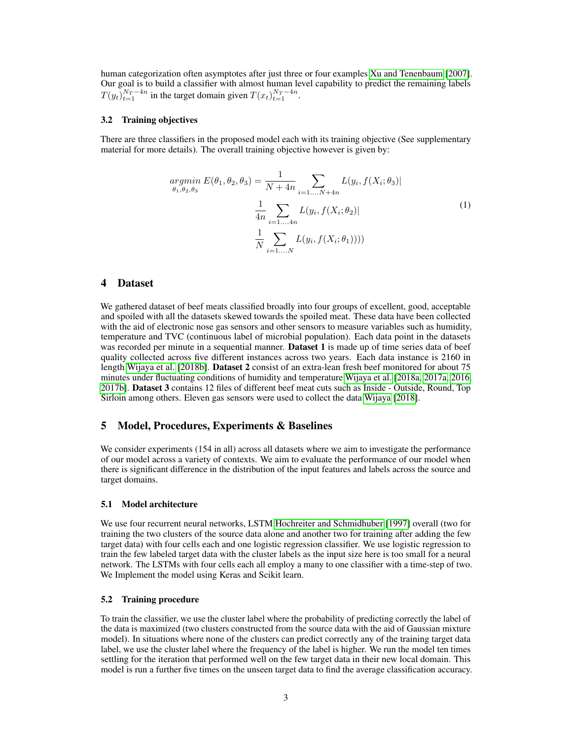human categorization often asymptotes after just three or four examples [Xu and Tenenbaum](#page-4-6) [\[2007\]](#page-4-6). Our goal is to build a classifier with almost human level capability to predict the remaining labels  $T(y_t)_{t=1}^{N_T-4n}$  in the target domain given  $T(x_t)_{t=1}^{N_T-4n}$ .

#### 3.2 Training objectives

There are three classifiers in the proposed model each with its training objective (See supplementary material for more details). The overall training objective however is given by:

$$
argmin_{\theta_1, \theta_2, \theta_3} E(\theta_1, \theta_2, \theta_3) = \frac{1}{N + 4n} \sum_{i=1,...,N+4n} L(y_i, f(X_i; \theta_3))
$$

$$
\frac{1}{4n} \sum_{i=1,...,4n} L(y_i, f(X_i; \theta_2))
$$
(1)
$$
\frac{1}{N} \sum_{i=1,...,N} L(y_i, f(X_i; \theta_1))))
$$

# 4 Dataset

We gathered dataset of beef meats classified broadly into four groups of excellent, good, acceptable and spoiled with all the datasets skewed towards the spoiled meat. These data have been collected with the aid of electronic nose gas sensors and other sensors to measure variables such as humidity, temperature and TVC (continuous label of microbial population). Each data point in the datasets was recorded per minute in a sequential manner. **Dataset 1** is made up of time series data of beef quality collected across five different instances across two years. Each data instance is 2160 in length [Wijaya et al.](#page-4-12) [\[2018b\]](#page-4-12). Dataset 2 consist of an extra-lean fresh beef monitored for about 75 minutes under fluctuating conditions of humidity and temperature [Wijaya et al.](#page-4-2) [\[2018a,](#page-4-2) [2017a,](#page-4-13) [2016,](#page-4-14) [2017b\]](#page-4-15). Dataset 3 contains 12 files of different beef meat cuts such as Inside - Outside, Round, Top Sirloin among others. Eleven gas sensors were used to collect the data [Wijaya](#page-4-16) [\[2018\]](#page-4-16).

## 5 Model, Procedures, Experiments & Baselines

We consider experiments (154 in all) across all datasets where we aim to investigate the performance of our model across a variety of contexts. We aim to evaluate the performance of our model when there is significant difference in the distribution of the input features and labels across the source and target domains.

#### 5.1 Model architecture

We use four recurrent neural networks, LSTM [Hochreiter and Schmidhuber](#page-4-17) [\[1997\]](#page-4-17) overall (two for training the two clusters of the source data alone and another two for training after adding the few target data) with four cells each and one logistic regression classifier. We use logistic regression to train the few labeled target data with the cluster labels as the input size here is too small for a neural network. The LSTMs with four cells each all employ a many to one classifier with a time-step of two. We Implement the model using Keras and Scikit learn.

#### 5.2 Training procedure

To train the classifier, we use the cluster label where the probability of predicting correctly the label of the data is maximized (two clusters constructed from the source data with the aid of Gaussian mixture model). In situations where none of the clusters can predict correctly any of the training target data label, we use the cluster label where the frequency of the label is higher. We run the model ten times settling for the iteration that performed well on the few target data in their new local domain. This model is run a further five times on the unseen target data to find the average classification accuracy.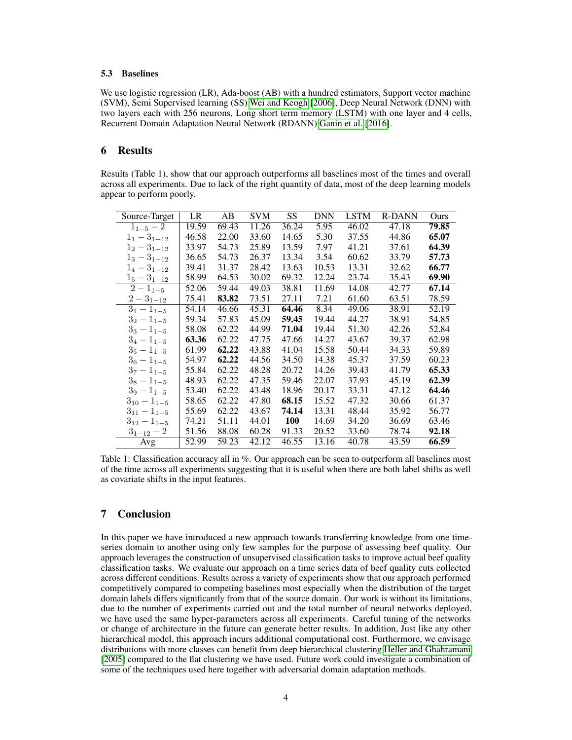#### 5.3 Baselines

We use logistic regression (LR), Ada-boost (AB) with a hundred estimators, Support vector machine (SVM), Semi Supervised learning (SS) [Wei and Keogh](#page-4-9) [\[2006\]](#page-4-9), Deep Neural Network (DNN) with two layers each with 256 neurons, Long short term memory (LSTM) with one layer and 4 cells, Recurrent Domain Adaptation Neural Network (RDANN) [Ganin et al.](#page-4-11) [\[2016\]](#page-4-11).

# 6 Results

Results (Table 1), show that our approach outperforms all baselines most of the times and overall across all experiments. Due to lack of the right quantity of data, most of the deep learning models appear to perform poorly.

| Source-Target            | LR    | AB    | SVM   | SS.        | <b>DNN</b> | <b>LSTM</b> | <b>R-DANN</b> | Ours  |
|--------------------------|-------|-------|-------|------------|------------|-------------|---------------|-------|
| $1_{1-5}$ – 2            | 19.59 | 69.43 | 11.26 | 36.24      | 5.95       | 46.02       | 47.18         | 79.85 |
| $1_1 - 3_{1-12}$         | 46.58 | 22.00 | 33.60 | 14.65      | 5.30       | 37.55       | 44.86         | 65.07 |
| $1_2 - 3_{1-12}$         | 33.97 | 54.73 | 25.89 | 13.59      | 7.97       | 41.21       | 37.61         | 64.39 |
| $1_3 - 3_{1-12}$         | 36.65 | 54.73 | 26.37 | 13.34      | 3.54       | 60.62       | 33.79         | 57.73 |
| $1_4-3_{1-12}$           | 39.41 | 31.37 | 28.42 | 13.63      | 10.53      | 13.31       | 32.62         | 66.77 |
| $1_5 - 3_{1-12}$         | 58.99 | 64.53 | 30.02 | 69.32      | 12.24      | 23.74       | 35.43         | 69.90 |
| $\overline{2} - 1_{1-5}$ | 52.06 | 59.44 | 49.03 | 38.81      | 11.69      | 14.08       | 42.77         | 67.14 |
| $2-3_{1-12}$             | 75.41 | 83.82 | 73.51 | 27.11      | 7.21       | 61.60       | 63.51         | 78.59 |
| $3_1 - 1_{1-5}$          | 54.14 | 46.66 | 45.31 | 64.46      | 8.34       | 49.06       | 38.91         | 52.19 |
| $3_2 - 1_{1-5}$          | 59.34 | 57.83 | 45.09 | 59.45      | 19.44      | 44.27       | 38.91         | 54.85 |
| $3_3 - 1_{1-5}$          | 58.08 | 62.22 | 44.99 | 71.04      | 19.44      | 51.30       | 42.26         | 52.84 |
| $3_4 - 1_{1-5}$          | 63.36 | 62.22 | 47.75 | 47.66      | 14.27      | 43.67       | 39.37         | 62.98 |
| $3_5 - 1_{1-5}$          | 61.99 | 62.22 | 43.88 | 41.04      | 15.58      | 50.44       | 34.33         | 59.89 |
| $3_6 - 1_{1-5}$          | 54.97 | 62.22 | 44.56 | 34.50      | 14.38      | 45.37       | 37.59         | 60.23 |
| $3_7-1_{1-5}$            | 55.84 | 62.22 | 48.28 | 20.72      | 14.26      | 39.43       | 41.79         | 65.33 |
| $3_8 - 1_{1-5}$          | 48.93 | 62.22 | 47.35 | 59.46      | 22.07      | 37.93       | 45.19         | 62.39 |
| $39 - 1_{1-5}$           | 53.40 | 62.22 | 43.48 | 18.96      | 20.17      | 33.31       | 47.12         | 64.46 |
| $3_{10} - 1_{1-5}$       | 58.65 | 62.22 | 47.80 | 68.15      | 15.52      | 47.32       | 30.66         | 61.37 |
| $3_{11} - 1_{1-5}$       | 55.69 | 62.22 | 43.67 | 74.14      | 13.31      | 48.44       | 35.92         | 56.77 |
| $3_{12}-1_{1-5}$         | 74.21 | 51.11 | 44.01 | <b>100</b> | 14.69      | 34.20       | 36.69         | 63.46 |
| $3_{1-12}-2$             | 51.56 | 88.08 | 60.28 | 91.33      | 20.52      | 33.60       | 78.74         | 92.18 |
| Avg                      | 52.99 | 59.23 | 42.12 | 46.55      | 13.16      | 40.78       | 43.59         | 66.59 |

Table 1: Classification accuracy all in %. Our approach can be seen to outperform all baselines most of the time across all experiments suggesting that it is useful when there are both label shifts as well as covariate shifts in the input features.

# 7 Conclusion

In this paper we have introduced a new approach towards transferring knowledge from one timeseries domain to another using only few samples for the purpose of assessing beef quality. Our approach leverages the construction of unsupervised classification tasks to improve actual beef quality classification tasks. We evaluate our approach on a time series data of beef quality cuts collected across different conditions. Results across a variety of experiments show that our approach performed competitively compared to competing baselines most especially when the distribution of the target domain labels differs significantly from that of the source domain. Our work is without its limitations, due to the number of experiments carried out and the total number of neural networks deployed, we have used the same hyper-parameters across all experiments. Careful tuning of the networks or change of architecture in the future can generate better results. In addition, Just like any other hierarchical model, this approach incurs additional computational cost. Furthermore, we envisage distributions with more classes can benefit from deep hierarchical clustering [Heller and Ghahramani](#page-5-0) [\[2005\]](#page-5-0) compared to the flat clustering we have used. Future work could investigate a combination of some of the techniques used here together with adversarial domain adaptation methods.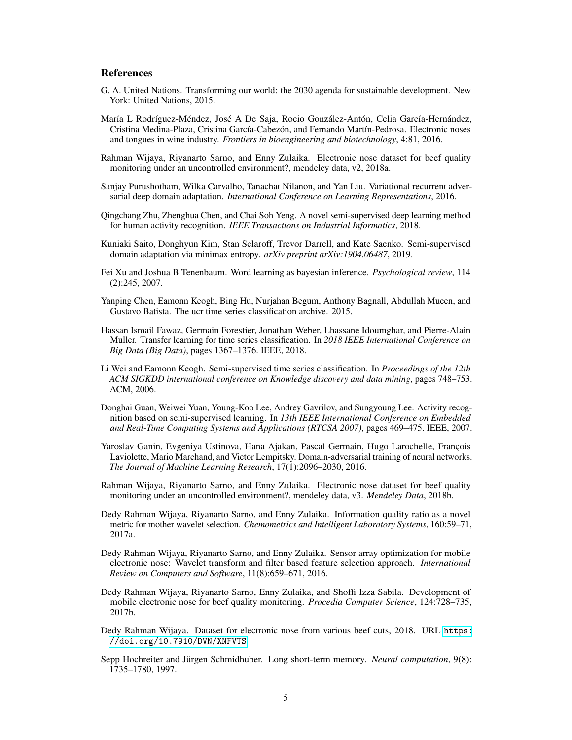# References

- <span id="page-4-0"></span>G. A. United Nations. Transforming our world: the 2030 agenda for sustainable development. New York: United Nations, 2015.
- <span id="page-4-1"></span>María L Rodríguez-Méndez, José A De Saja, Rocio González-Antón, Celia García-Hernández, Cristina Medina-Plaza, Cristina García-Cabezón, and Fernando Martín-Pedrosa. Electronic noses and tongues in wine industry. *Frontiers in bioengineering and biotechnology*, 4:81, 2016.
- <span id="page-4-2"></span>Rahman Wijaya, Riyanarto Sarno, and Enny Zulaika. Electronic nose dataset for beef quality monitoring under an uncontrolled environment?, mendeley data, v2, 2018a.
- <span id="page-4-3"></span>Sanjay Purushotham, Wilka Carvalho, Tanachat Nilanon, and Yan Liu. Variational recurrent adversarial deep domain adaptation. *International Conference on Learning Representations*, 2016.
- <span id="page-4-4"></span>Qingchang Zhu, Zhenghua Chen, and Chai Soh Yeng. A novel semi-supervised deep learning method for human activity recognition. *IEEE Transactions on Industrial Informatics*, 2018.
- <span id="page-4-5"></span>Kuniaki Saito, Donghyun Kim, Stan Sclaroff, Trevor Darrell, and Kate Saenko. Semi-supervised domain adaptation via minimax entropy. *arXiv preprint arXiv:1904.06487*, 2019.
- <span id="page-4-6"></span>Fei Xu and Joshua B Tenenbaum. Word learning as bayesian inference. *Psychological review*, 114 (2):245, 2007.
- <span id="page-4-7"></span>Yanping Chen, Eamonn Keogh, Bing Hu, Nurjahan Begum, Anthony Bagnall, Abdullah Mueen, and Gustavo Batista. The ucr time series classification archive. 2015.
- <span id="page-4-8"></span>Hassan Ismail Fawaz, Germain Forestier, Jonathan Weber, Lhassane Idoumghar, and Pierre-Alain Muller. Transfer learning for time series classification. In *2018 IEEE International Conference on Big Data (Big Data)*, pages 1367–1376. IEEE, 2018.
- <span id="page-4-9"></span>Li Wei and Eamonn Keogh. Semi-supervised time series classification. In *Proceedings of the 12th ACM SIGKDD international conference on Knowledge discovery and data mining*, pages 748–753. ACM, 2006.
- <span id="page-4-10"></span>Donghai Guan, Weiwei Yuan, Young-Koo Lee, Andrey Gavrilov, and Sungyoung Lee. Activity recognition based on semi-supervised learning. In *13th IEEE International Conference on Embedded and Real-Time Computing Systems and Applications (RTCSA 2007)*, pages 469–475. IEEE, 2007.
- <span id="page-4-11"></span>Yaroslav Ganin, Evgeniya Ustinova, Hana Ajakan, Pascal Germain, Hugo Larochelle, François Laviolette, Mario Marchand, and Victor Lempitsky. Domain-adversarial training of neural networks. *The Journal of Machine Learning Research*, 17(1):2096–2030, 2016.
- <span id="page-4-12"></span>Rahman Wijaya, Riyanarto Sarno, and Enny Zulaika. Electronic nose dataset for beef quality monitoring under an uncontrolled environment?, mendeley data, v3. *Mendeley Data*, 2018b.
- <span id="page-4-13"></span>Dedy Rahman Wijaya, Riyanarto Sarno, and Enny Zulaika. Information quality ratio as a novel metric for mother wavelet selection. *Chemometrics and Intelligent Laboratory Systems*, 160:59–71, 2017a.
- <span id="page-4-14"></span>Dedy Rahman Wijaya, Riyanarto Sarno, and Enny Zulaika. Sensor array optimization for mobile electronic nose: Wavelet transform and filter based feature selection approach. *International Review on Computers and Software*, 11(8):659–671, 2016.
- <span id="page-4-15"></span>Dedy Rahman Wijaya, Riyanarto Sarno, Enny Zulaika, and Shoffi Izza Sabila. Development of mobile electronic nose for beef quality monitoring. *Procedia Computer Science*, 124:728–735, 2017b.
- <span id="page-4-16"></span>Dedy Rahman Wijaya. Dataset for electronic nose from various beef cuts, 2018. URL [https:](https://doi.org/10.7910/DVN/XNFVTS) [//doi.org/10.7910/DVN/XNFVTS](https://doi.org/10.7910/DVN/XNFVTS).
- <span id="page-4-17"></span>Sepp Hochreiter and Jürgen Schmidhuber. Long short-term memory. *Neural computation*, 9(8): 1735–1780, 1997.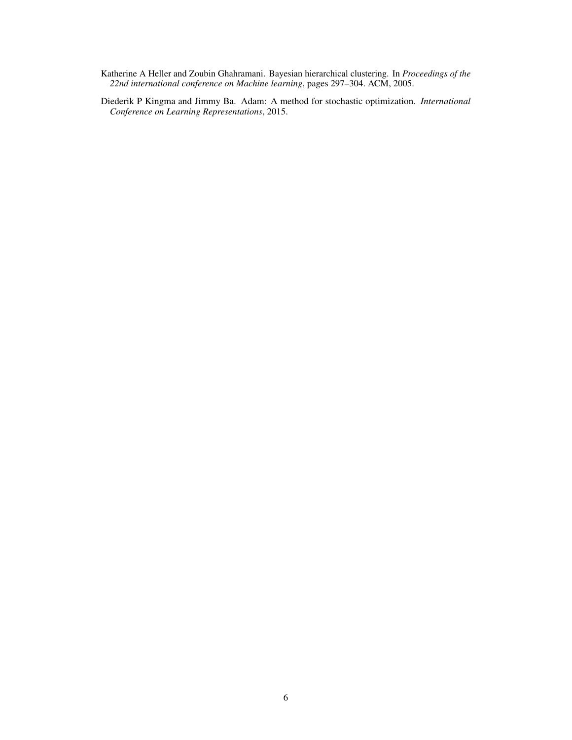- <span id="page-5-0"></span>Katherine A Heller and Zoubin Ghahramani. Bayesian hierarchical clustering. In *Proceedings of the 22nd international conference on Machine learning*, pages 297–304. ACM, 2005.
- <span id="page-5-1"></span>Diederik P Kingma and Jimmy Ba. Adam: A method for stochastic optimization. *International Conference on Learning Representations*, 2015.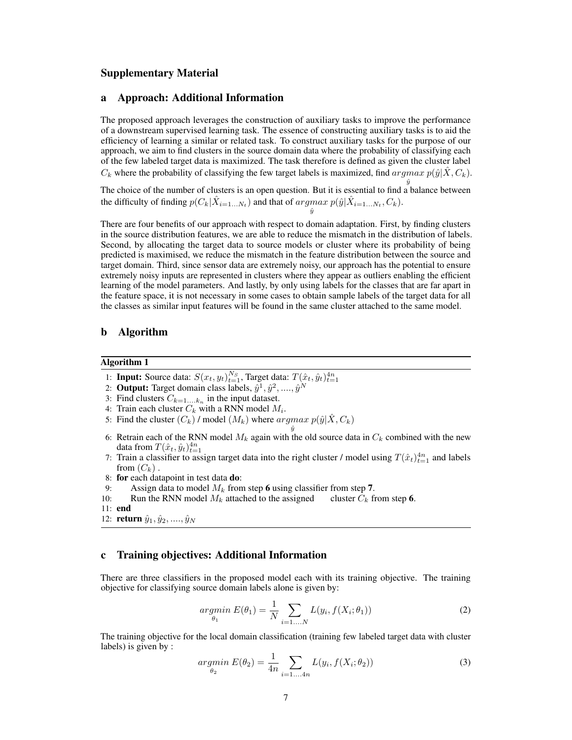## Supplementary Material

## a Approach: Additional Information

The proposed approach leverages the construction of auxiliary tasks to improve the performance of a downstream supervised learning task. The essence of constructing auxiliary tasks is to aid the efficiency of learning a similar or related task. To construct auxiliary tasks for the purpose of our approach, we aim to find clusters in the source domain data where the probability of classifying each of the few labeled target data is maximized. The task therefore is defined as given the cluster label  $C_k$  where the probability of classifying the few target labels is maximized, find  $argmax p(\hat{y} | \hat{X}, C_k)$ .

The choice of the number of clusters is an open question. But it is essential to find a balance between the difficulty of finding  $p(C_k|\hat{X}_{i=1...N_t})$  and that of  $argmax p(\hat{y}|\hat{X}_{i=1...N_t}, C_k)$ .

 $\hat{y}$ 

There are four benefits of our approach with respect to domain adaptation. First, by finding clusters in the source distribution features, we are able to reduce the mismatch in the distribution of labels. Second, by allocating the target data to source models or cluster where its probability of being predicted is maximised, we reduce the mismatch in the feature distribution between the source and target domain. Third, since sensor data are extremely noisy, our approach has the potential to ensure extremely noisy inputs are represented in clusters where they appear as outliers enabling the efficient learning of the model parameters. And lastly, by only using labels for the classes that are far apart in the feature space, it is not necessary in some cases to obtain sample labels of the target data for all the classes as similar input features will be found in the same cluster attached to the same model.

#### b Algorithm

#### Algorithm 1

- 1: **Input:** Source data:  $S(x_t, y_t)_{t=1}^{N_S}$ , Target data:  $T(\hat{x}_t, \hat{y}_t)_{t=1}^{4n}$
- 2: Output: Target domain class labels,  $\hat{y}^1, \hat{y}^2, ...., \hat{y}^N$
- 3: Find clusters  $C_{k=1,...,k_n}$  in the input dataset.
- 4: Train each cluster  $C_k$  with a RNN model  $M_i$ .
- 5: Find the cluster  $(C_k)$  / model  $(M_k)$  where  $argmax p(\hat{y} | \hat{X}, C_k)$
- $\hat{y}$ 6: Retrain each of the RNN model  $M_k$  again with the old source data in  $C_k$  combined with the new data from  $T(\hat{x}_t, \hat{y}_t)_{t=1}^{4n}$
- 7: Train a classifier to assign target data into the right cluster / model using  $T(\hat{x}_t)_{t=1}^{4n}$  and labels from  $(C_k)$ .
- 8: for each datapoint in test data do:
- 
- 9: Assign data to model  $M_k$  from step 6 using classifier from step 7.<br>10: Run the RNN model  $M_k$  attached to the assigned cluster  $C_k$  from step 6. Run the RNN model  $M_k$  attached to the assigned

# c Training objectives: Additional Information

There are three classifiers in the proposed model each with its training objective. The training objective for classifying source domain labels alone is given by:

<span id="page-6-1"></span>
$$
argmin_{\theta_1} E(\theta_1) = \frac{1}{N} \sum_{i=1,...,N} L(y_i, f(X_i; \theta_1))
$$
\n(2)

The training objective for the local domain classification (training few labeled target data with cluster labels) is given by :

<span id="page-6-0"></span>
$$
argmin_{\theta_2} E(\theta_2) = \frac{1}{4n} \sum_{i=1...4n} L(y_i, f(X_i; \theta_2))
$$
\n(3)

<sup>11:</sup> end

<sup>12:</sup> **return**  $\hat{y}_1, \hat{y}_2, ..., \hat{y}_N$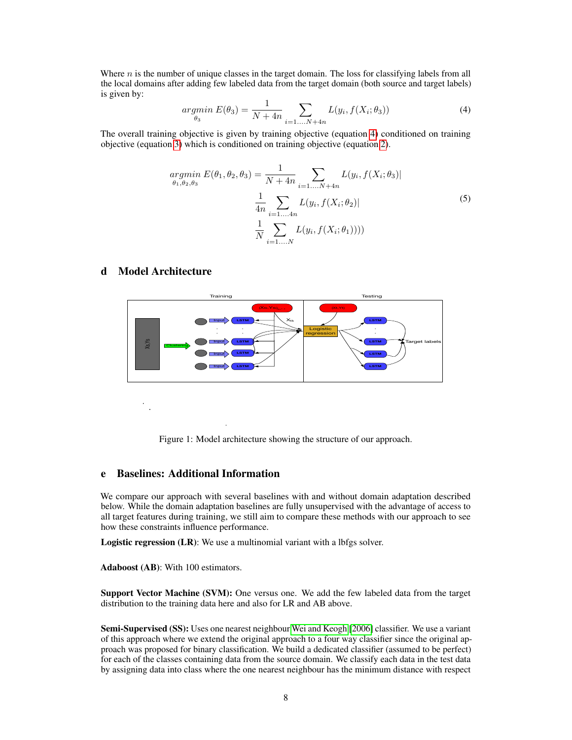Where  $n$  is the number of unique classes in the target domain. The loss for classifying labels from all the local domains after adding few labeled data from the target domain (both source and target labels) is given by:

<span id="page-7-0"></span>
$$
argmin_{\theta_3} E(\theta_3) = \frac{1}{N+4n} \sum_{i=1...N+4n} L(y_i, f(X_i; \theta_3))
$$
\n(4)

The overall training objective is given by training objective (equation [4\)](#page-7-0) conditioned on training objective (equation [3\)](#page-6-0) which is conditioned on training objective (equation [2\)](#page-6-1).

$$
argmin_{\theta_1, \theta_2, \theta_3} E(\theta_1, \theta_2, \theta_3) = \frac{1}{N + 4n} \sum_{i=1,...,N+4n} L(y_i, f(X_i; \theta_3))
$$

$$
\frac{1}{4n} \sum_{i=1,...,4n} L(y_i, f(X_i; \theta_2))
$$
(5)
$$
\frac{1}{N} \sum_{i=1,...,N} L(y_i, f(X_i; \theta_1))))
$$

## d Model Architecture



Figure 1: Model architecture showing the structure of our approach.

# e Baselines: Additional Information

We compare our approach with several baselines with and without domain adaptation described below. While the domain adaptation baselines are fully unsupervised with the advantage of access to all target features during training, we still aim to compare these methods with our approach to see how these constraints influence performance.

Logistic regression (LR): We use a multinomial variant with a lbfgs solver.

Adaboost (AB): With 100 estimators.

Support Vector Machine (SVM): One versus one. We add the few labeled data from the target distribution to the training data here and also for LR and AB above.

Semi-Supervised (SS): Uses one nearest neighbour [Wei and Keogh](#page-4-9) [\[2006\]](#page-4-9) classifier. We use a variant of this approach where we extend the original approach to a four way classifier since the original approach was proposed for binary classification. We build a dedicated classifier (assumed to be perfect) for each of the classes containing data from the source domain. We classify each data in the test data by assigning data into class where the one nearest neighbour has the minimum distance with respect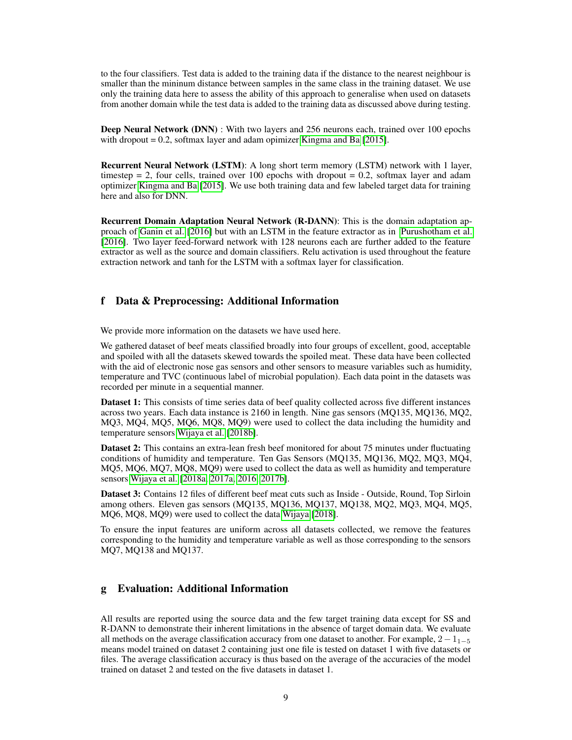to the four classifiers. Test data is added to the training data if the distance to the nearest neighbour is smaller than the mininum distance between samples in the same class in the training dataset. We use only the training data here to assess the ability of this approach to generalise when used on datasets from another domain while the test data is added to the training data as discussed above during testing.

Deep Neural Network (DNN) : With two layers and 256 neurons each, trained over 100 epochs with dropout  $= 0.2$ , softmax layer and adam opimizer [Kingma and Ba](#page-5-1) [\[2015\]](#page-5-1).

Recurrent Neural Network (LSTM): A long short term memory (LSTM) network with 1 layer, timestep  $= 2$ , four cells, trained over 100 epochs with dropout  $= 0.2$ , softmax layer and adam optimizer [Kingma and Ba](#page-5-1) [\[2015\]](#page-5-1). We use both training data and few labeled target data for training here and also for DNN.

Recurrent Domain Adaptation Neural Network (R-DANN): This is the domain adaptation approach of [Ganin et al.](#page-4-11) [\[2016\]](#page-4-11) but with an LSTM in the feature extractor as in [Purushotham et al.](#page-4-3) [\[2016\]](#page-4-3). Two layer feed-forward network with 128 neurons each are further added to the feature extractor as well as the source and domain classifiers. Relu activation is used throughout the feature extraction network and tanh for the LSTM with a softmax layer for classification.

# f Data & Preprocessing: Additional Information

We provide more information on the datasets we have used here.

We gathered dataset of beef meats classified broadly into four groups of excellent, good, acceptable and spoiled with all the datasets skewed towards the spoiled meat. These data have been collected with the aid of electronic nose gas sensors and other sensors to measure variables such as humidity, temperature and TVC (continuous label of microbial population). Each data point in the datasets was recorded per minute in a sequential manner.

Dataset 1: This consists of time series data of beef quality collected across five different instances across two years. Each data instance is 2160 in length. Nine gas sensors (MQ135, MQ136, MQ2, MQ3, MQ4, MQ5, MQ6, MQ8, MQ9) were used to collect the data including the humidity and temperature sensors [Wijaya et al.](#page-4-12) [\[2018b\]](#page-4-12).

Dataset 2: This contains an extra-lean fresh beef monitored for about 75 minutes under fluctuating conditions of humidity and temperature. Ten Gas Sensors (MQ135, MQ136, MQ2, MQ3, MQ4, MQ5, MQ6, MQ7, MQ8, MQ9) were used to collect the data as well as humidity and temperature sensors [Wijaya et al.](#page-4-2) [\[2018a,](#page-4-2) [2017a,](#page-4-13) [2016,](#page-4-14) [2017b\]](#page-4-15).

Dataset 3: Contains 12 files of different beef meat cuts such as Inside - Outside, Round, Top Sirloin among others. Eleven gas sensors (MQ135, MQ136, MQ137, MQ138, MQ2, MQ3, MQ4, MQ5, MQ6, MQ8, MQ9) were used to collect the data [Wijaya](#page-4-16) [\[2018\]](#page-4-16).

To ensure the input features are uniform across all datasets collected, we remove the features corresponding to the humidity and temperature variable as well as those corresponding to the sensors MQ7, MQ138 and MQ137.

# g Evaluation: Additional Information

All results are reported using the source data and the few target training data except for SS and R-DANN to demonstrate their inherent limitations in the absence of target domain data. We evaluate all methods on the average classification accuracy from one dataset to another. For example,  $2-1_{1-5}$ means model trained on dataset 2 containing just one file is tested on dataset 1 with five datasets or files. The average classification accuracy is thus based on the average of the accuracies of the model trained on dataset 2 and tested on the five datasets in dataset 1.